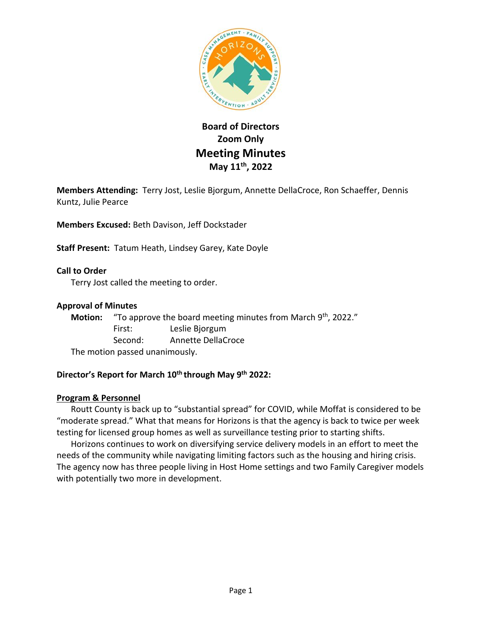

# **Board of Directors Zoom Only Meeting Minutes May 11th , 2022**

**Members Attending:** Terry Jost, Leslie Bjorgum, Annette DellaCroce, Ron Schaeffer, Dennis Kuntz, Julie Pearce

**Members Excused:** Beth Davison, Jeff Dockstader

**Staff Present:** Tatum Heath, Lindsey Garey, Kate Doyle

**Call to Order** Terry Jost called the meeting to order.

# **Approval of Minutes**

Motion: "To approve the board meeting minutes from March 9<sup>th</sup>, 2022." First: Leslie Bjorgum Second: Annette DellaCroce The motion passed unanimously.

# **Director's Report for March 10th through May 9th 2022:**

# **Program & Personnel**

Routt County is back up to "substantial spread" for COVID, while Moffat is considered to be "moderate spread." What that means for Horizons is that the agency is back to twice per week testing for licensed group homes as well as surveillance testing prior to starting shifts.

Horizons continues to work on diversifying service delivery models in an effort to meet the needs of the community while navigating limiting factors such as the housing and hiring crisis. The agency now has three people living in Host Home settings and two Family Caregiver models with potentially two more in development.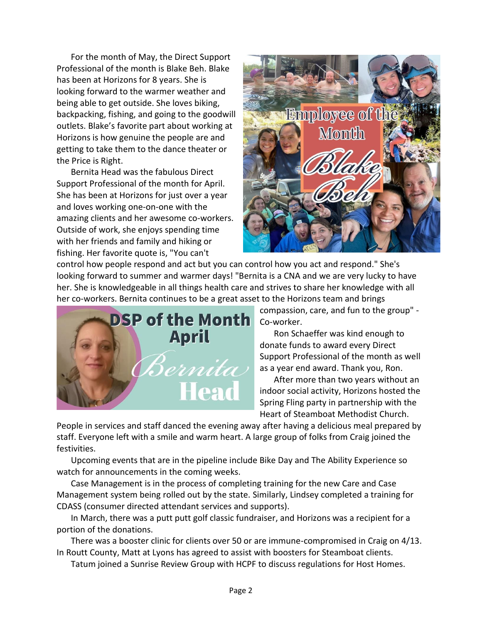For the month of May, the Direct Support Professional of the month is Blake Beh. Blake has been at Horizons for 8 years. She is looking forward to the warmer weather and being able to get outside. She loves biking, backpacking, fishing, and going to the goodwill outlets. Blake's favorite part about working at Horizons is how genuine the people are and getting to take them to the dance theater or the Price is Right.

Bernita Head was the fabulous Direct Support Professional of the month for April. She has been at Horizons for just over a year and loves working one-on-one with the amazing clients and her awesome co-workers. Outside of work, she enjoys spending time with her friends and family and hiking or fishing. Her favorite quote is, "You can't



control how people respond and act but you can control how you act and respond." She's looking forward to summer and warmer days! "Bernita is a CNA and we are very lucky to have her. She is knowledgeable in all things health care and strives to share her knowledge with all her co-workers. Bernita continues to be a great asset to the Horizons team and brings



compassion, care, and fun to the group" - Co-worker.

Ron Schaeffer was kind enough to donate funds to award every Direct Support Professional of the month as well as a year end award. Thank you, Ron.

After more than two years without an indoor social activity, Horizons hosted the Spring Fling party in partnership with the Heart of Steamboat Methodist Church.

People in services and staff danced the evening away after having a delicious meal prepared by staff. Everyone left with a smile and warm heart. A large group of folks from Craig joined the festivities.

Upcoming events that are in the pipeline include Bike Day and The Ability Experience so watch for announcements in the coming weeks.

Case Management is in the process of completing training for the new Care and Case Management system being rolled out by the state. Similarly, Lindsey completed a training for CDASS (consumer directed attendant services and supports).

In March, there was a putt putt golf classic fundraiser, and Horizons was a recipient for a portion of the donations.

There was a booster clinic for clients over 50 or are immune-compromised in Craig on 4/13. In Routt County, Matt at Lyons has agreed to assist with boosters for Steamboat clients.

Tatum joined a Sunrise Review Group with HCPF to discuss regulations for Host Homes.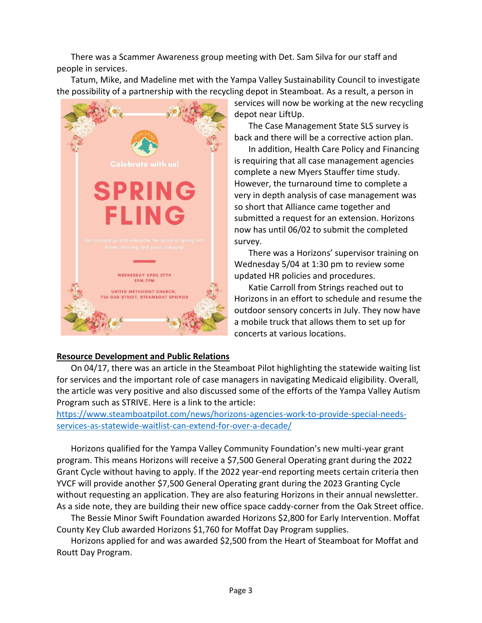There was a Scammer Awareness group meeting with Det. Sam Silva for our staff and people in services.

Tatum, Mike, and Madeline met with the Yampa Valley Sustainability Council to investigate the possibility of a partnership with the recycling depot in Steamboat. As a result, a person in



services will now be working at the new recycling depot near LiftUp.

The Case Management State SLS survey is back and there will be a corrective action plan.

In addition, Health Care Policy and Financing is requiring that all case management agencies complete a new Myers Stauffer time study. However, the turnaround time to complete a very in depth analysis of case management was so short that Alliance came together and submitted a request for an extension. Horizons now has until 06/02 to submit the completed survey.

There was a Horizons' supervisor training on Wednesday 5/04 at 1:30 pm to review some updated HR policies and procedures.

Katie Carroll from Strings reached out to Horizons in an effort to schedule and resume the outdoor sensory concerts in July. They now have a mobile truck that allows them to set up for concerts at various locations.

#### **Resource Development and Public Relations**

On 04/17, there was an article in the Steamboat Pilot highlighting the statewide waiting list for services and the important role of case managers in navigating Medicaid eligibility. Overall, the article was very positive and also discussed some of the efforts of the Yampa Valley Autism Program such as STRIVE. Here is a link to the article:

[https://www.steamboatpilot.com/news/horizons-agencies-work-to-provide-special-needs](https://www.steamboatpilot.com/news/horizons-agencies-work-to-provide-special-needs-services-as-statewide-waitlist-can-extend-for-over-a-decade/)[services-as-statewide-waitlist-can-extend-for-over-a-decade/](https://www.steamboatpilot.com/news/horizons-agencies-work-to-provide-special-needs-services-as-statewide-waitlist-can-extend-for-over-a-decade/)

Horizons qualified for the Yampa Valley Community Foundation's new multi-year grant program. This means Horizons will receive a \$7,500 General Operating grant during the 2022 Grant Cycle without having to apply. If the 2022 year-end reporting meets certain criteria then YVCF will provide another \$7,500 General Operating grant during the 2023 Granting Cycle without requesting an application. They are also featuring Horizons in their annual newsletter. As a side note, they are building their new office space caddy-corner from the Oak Street office.

The Bessie Minor Swift Foundation awarded Horizons \$2,800 for Early Intervention. Moffat County Key Club awarded Horizons \$1,760 for Moffat Day Program supplies.

Horizons applied for and was awarded \$2,500 from the Heart of Steamboat for Moffat and Routt Day Program.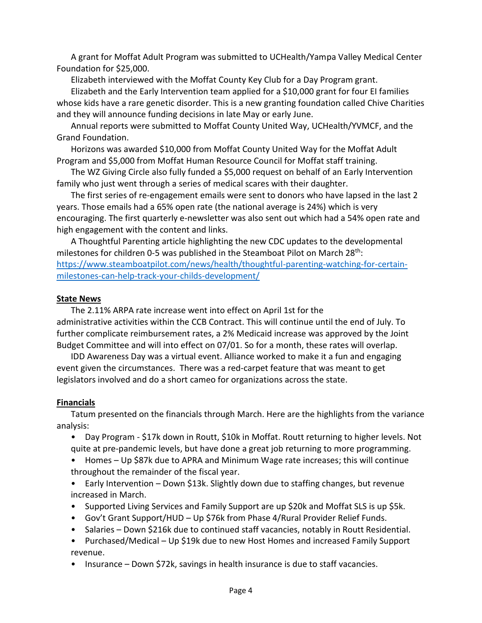A grant for Moffat Adult Program was submitted to UCHealth/Yampa Valley Medical Center Foundation for \$25,000.

Elizabeth interviewed with the Moffat County Key Club for a Day Program grant.

Elizabeth and the Early Intervention team applied for a \$10,000 grant for four EI families whose kids have a rare genetic disorder. This is a new granting foundation called Chive Charities and they will announce funding decisions in late May or early June.

Annual reports were submitted to Moffat County United Way, UCHealth/YVMCF, and the Grand Foundation.

Horizons was awarded \$10,000 from Moffat County United Way for the Moffat Adult Program and \$5,000 from Moffat Human Resource Council for Moffat staff training.

The WZ Giving Circle also fully funded a \$5,000 request on behalf of an Early Intervention family who just went through a series of medical scares with their daughter.

The first series of re-engagement emails were sent to donors who have lapsed in the last 2 years. Those emails had a 65% open rate (the national average is 24%) which is very encouraging. The first quarterly e-newsletter was also sent out which had a 54% open rate and high engagement with the content and links.

A Thoughtful Parenting article highlighting the new CDC updates to the developmental milestones for children 0-5 was published in the Steamboat Pilot on March 28th: [https://www.steamboatpilot.com/news/health/thoughtful-parenting-watching-for-certain](https://www.steamboatpilot.com/news/health/thoughtful-parenting-watching-for-certain-milestones-can-help-track-your-childs-development/)[milestones-can-help-track-your-childs-development/](https://www.steamboatpilot.com/news/health/thoughtful-parenting-watching-for-certain-milestones-can-help-track-your-childs-development/)

#### **State News**

The 2.11% ARPA rate increase went into effect on April 1st for the administrative activities within the CCB Contract. This will continue until the end of July. To further complicate reimbursement rates, a 2% Medicaid increase was approved by the Joint Budget Committee and will into effect on 07/01. So for a month, these rates will overlap.

IDD Awareness Day was a virtual event. Alliance worked to make it a fun and engaging event given the circumstances. There was a red-carpet feature that was meant to get legislators involved and do a short cameo for organizations across the state.

# **Financials**

Tatum presented on the financials through March. Here are the highlights from the variance analysis:

- Day Program \$17k down in Routt, \$10k in Moffat. Routt returning to higher levels. Not quite at pre-pandemic levels, but have done a great job returning to more programming.
- Homes Up \$87k due to APRA and Minimum Wage rate increases; this will continue throughout the remainder of the fiscal year.
- Early Intervention Down \$13k. Slightly down due to staffing changes, but revenue increased in March.
- Supported Living Services and Family Support are up \$20k and Moffat SLS is up \$5k.
- Gov't Grant Support/HUD Up \$76k from Phase 4/Rural Provider Relief Funds.
- Salaries Down \$216k due to continued staff vacancies, notably in Routt Residential.
- Purchased/Medical Up \$19k due to new Host Homes and increased Family Support revenue.
- Insurance Down \$72k, savings in health insurance is due to staff vacancies.